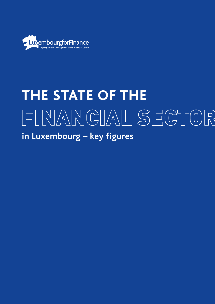

# **THE STATE OF THE**  FINANCIAL SECTOR **in Luxembourg – key figures**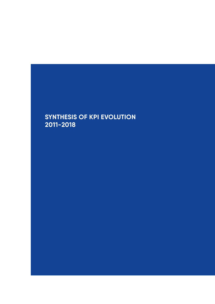# **SYNTHESIS OF KPI EVOLUTION 2011-2018**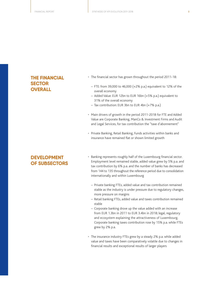#### **THE FINANCIAL SECTOR OVERALL**

- The financial sector has grown throughout the period 2011-18:
	- FTE: from 39,000 to 46,000 (+2% p.a.) equivalent to 12% of the overall economy
	- Added Value: EUR 12bn to EUR 16bn (+5% p.a.) equivalent to 31% of the overall economy
	- Tax contribution: EUR 3bn to EUR 4bn (+7% p.a.)
- Main drivers of growth in the period 2011-2018 for FTE and Added Value are Corporate Banking, ManCo & Investment Firms and Audit and Legal Services, for tax contribution the "taxe d'abonnement"
- Private Banking, Retail Banking, Funds activities within banks and insurance have remained flat or shown limited growth

#### **DEVELOPMENT OF SUBSECTORS**

- Banking represents roughly half of the Luxembourg financial sector. Employment level remained stable, added value grew by 5% p.a. and tax contribution by 6% p.a. and the number of banks has decreased from 144 to 135 throughout the reference period due to consolidation internationally and within Luxembourg
	- Private banking FTEs, added value and tax contribution remained stable as the industry is under pressure due to regulatory changes, more pressure on margins
	- Retail banking FTEs, added value and taxes contribution remained stable
	- Corporate banking drove up the value added with an increase from EUR 1.3bn in 2011 to EUR 3.4bn in 2018; legal, regulatory and ecosystem explaining the attractiveness of Luxembourg. Corporate banking taxes contribution rose by 15% p.a. while FTEs grew by 2% p.a.
- The insurance industry FTEs grew by a steady 2% p.a. while added value and taxes have been comparatively volatile due to changes in financial results and exceptional results of larger players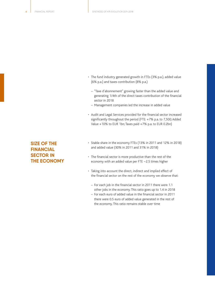- The fund industry generated growth in FTEs (3% p.a.), added value (6% p.a.) and taxes contribution (8% p.a.)
	- "Taxe d'abonnement" growing faster than the added value and generating 1/4th of the direct taxes contribution of the financial sector in 2018
	- Management companies led the increase in added value
- Audit and Legal Services provided for the financial sector increased significantly throughout the period (FTE: +7% p.a. to 7,500; Added Value +10% to EUR 1bn; Taxes paid +7% p.a. to EUR 0.2bn)

### **SIZE OF THE FINANCIAL SECTOR IN THE ECONOMY**

- Stable share in the economy FTEs (13% in 2011 and 12% in 2018) and added value (30% in 2011 and 31% in 2018)
- The financial sector is more productive than the rest of the economy with an added value per FTE ~2.5 times higher
- Taking into account the direct, indirect and implied effect of the financial sector on the rest of the economy we observe that:
	- For each job in the financial sector in 2011 there were 1.1 other jobs in the economy. This ratio goes up to 1.4 in 2018
	- For each euro of added value in the financial sector in 2011 there were 0.5 euro of added value generated in the rest of the economy. This ratio remains stable over time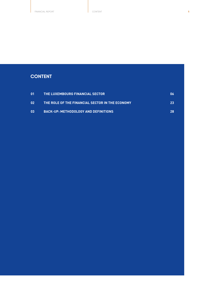### **CONTENT**

| -01 | THE LUXEMBOURG FINANCIAL SECTOR                 | 06 |
|-----|-------------------------------------------------|----|
| -02 | THE ROLE OF THE FINANCIAL SECTOR IN THE ECONOMY | 23 |
| -03 | <b>BACK-UP: METHODOLOGY AND DEFINITIONS</b>     | 28 |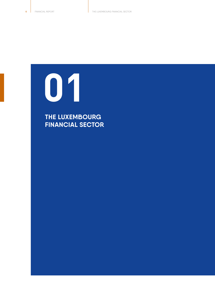<span id="page-5-0"></span>**01**

**THE LUXEMBOURG FINANCIAL SECTOR**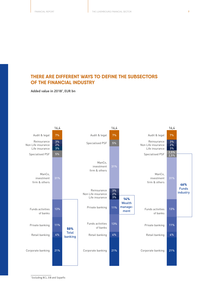### **THERE ARE DIFFERENT WAYS TO DEFINE THE SUBSECTORS OF THE FINANCIAL INDUSTRY**

**Added value in 20181 , EUR bn**



1 Excluding BCL, EIB and Soparfis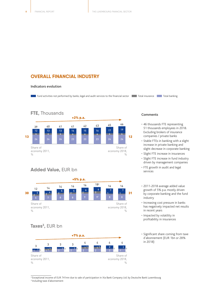#### **OVERALL FINANCIAL INDUSTRY**

#### **Indicators evolution**

**Fund activities not performed by banks, legal and audit services to the financial sector Total insurance Total banking** 



#### **FTE,** Thousands Share of economy 2011,  $\frac{0}{n}$ Share of economy 2018,  $0/$ 24 24 24 23 23 23 24 24 12 13 13 14 15 16 17 19 +2% p.a. 13 **12 12 12 12 12 12 12 12 12 12 12 12 12** 39 40 41 41 42 43 45 46 4 4 4 4 4 4 4 4 4

#### **Added Value,** EUR bn



### **Taxes3 ,** EUR bn



#### **Comments**

- 46 thousands FTE representing 51 thousands employees in 2018. Excluding brokers of insurance companies / private banks
- Stable FTEs in banking with a slight increase in private banking and slight decrease in corporate banking
- Slight FTE increase in insurances
- Slight FTE increase in fund industry driven by management companies
- FTE growth in audit and legal services
- 2011-2018 average added value growth of 5% p.a. mostly driven by corporate banking and the fund industry
- Increasing cost pressure in banks has negatively impacted net results in recent years
- Impacted by volatility in profitability in insurances
- Significant share coming from taxe d'abonnement (EUR 1bn or 28% in 2018)

<sup>2</sup> Exceptional income of EUR 741mn due to sale of participation in Xia Bank Company Ltd. by Deutsche Bank Luxembourg 3 Including taxe d'abonnement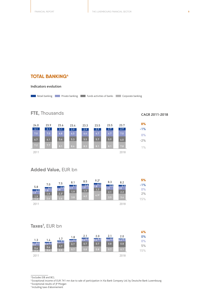#### **TOTAL BANKING4**

**Indicators evolution**

**FTE,** Thousands

| <b>0%</b> | 23.7 | 23.5 | 23.5 | 23.3 | 23.4 | 23.6 | 23.9 | 24.0 |
|-----------|------|------|------|------|------|------|------|------|
| $-1%$     | 2.9  | 2.9  | 2.9  | 2.9  | 2.9  | 3.1  | 3.1  | 3.1  |
| $0\%$     | 7.0  | 6.7  | 6.7  | 6.6  | 6.5  | 6.8  | 7.0  | 7.0  |
| $-2%$     | 6.0  | 5.9  | 5.7  | 5.5  | 5.3  | 5.6  | 6.1  | 6.7  |
| $1\%$     | 7.8  | 8.1  | 8.1  | 8.3  | 8.6  | 8.1  | 7.7  | 7.2  |
|           | 2018 |      |      |      |      |      |      | 2011 |

**Retail banking Private banking Funds activities of banks Corporate banking** 

### **Added Value,** EUR bn



#### **Taxes7 ,** EUR bn

|                |                         |                         |                  |             |                           |             |         | 6%    |
|----------------|-------------------------|-------------------------|------------------|-------------|---------------------------|-------------|---------|-------|
|                |                         |                         | 1.8              | 2.1         | 2.0                       | 2.1         | 2.0     | 0%    |
| 1.3            | 1.4<br>$_{\rm 0.3}$ 0.1 | 1.7<br>$_{\rm 0.3}$ 0.1 | $_{\rm 0.3}$ 0.1 | $0.4^{0.1}$ | $_{\rm 0.4}$ $^{\rm 0.1}$ | $0.4^{0.1}$ | 0.3 0.1 | $0\%$ |
| $0.4^{0.1}$    | 0.6                     | 0.7                     | 0.7              | 0.7         | 0.7                       | 0.8         | 0.8     | 5%    |
| $0.6\,$<br>0.3 | 0.4 <sub>1</sub>        | 0.5 <sub>1</sub>        | 0.7              | 0.8         | 0.8                       | 0.7         | 0.7     | 15%   |
| 2011           |                         |                         |                  |             |                           |             | 2018    |       |

4 Excludes EIB and BCL

- 5 Exceptional income of EUR 741 mn due to sale of participation in Xia Bank Company Ltd. by Deutsche Bank Luxembourg
- 6 Exceptional results of JP Morgan
- 7 Including taxe d'abonnement

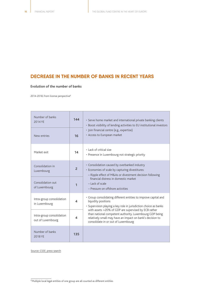### **DECREASE IN THE NUMBER OF BANKS IN RECENT YEARS**

#### **Evolution of the number of banks**

2014-2018, From license perspective<sup>8</sup>

| Number of banks<br>2014 YF                                            | 144            | · Serve home market and international private banking clients<br>• Boost visibility of lending activities to EU institutional investors                                                                             |
|-----------------------------------------------------------------------|----------------|---------------------------------------------------------------------------------------------------------------------------------------------------------------------------------------------------------------------|
| New entries                                                           | 16             | · Join financial centre (e.g., expertise)<br>• Access to European market                                                                                                                                            |
| Market exit                                                           | 14             | • Lack of critical size<br>· Presence in Luxembourg not strategic priority                                                                                                                                          |
| Consolidation in<br>Luxembourg                                        | $\overline{2}$ | · Consolidation caused by overbanked industry<br>· Economies of scale by capturing divestitures:<br>- Ripple effect of M&As or divestment decision following                                                        |
| Consolidation out<br>of Luxembourg                                    | 1              | financial distress in domestic market<br>- Lack of scale<br>- Pressure on offshore activities                                                                                                                       |
| Intra-group consolidation<br>$\overline{\mathbf{A}}$<br>in Luxembourg |                | · Group consolidating different entities to improve capital and<br>liquidity positions<br>• Supervision playing a key role in jurisdiction choice as banks                                                          |
| Intra-group consolidation<br>4<br>out of Luxembourg                   |                | with assets >20% of GDP are supervised by ECB rather<br>than national competent authority. Luxembourg GDP being<br>relatively small may have an impact on bank's decision to<br>consolidate in or out of Luxembourg |
| Number of banks<br>2018 YE                                            | 135            |                                                                                                                                                                                                                     |

Source: CSSF, press search

 $\overline{\text{B}}$  Multiple local legal entities of one group are all counted as different entities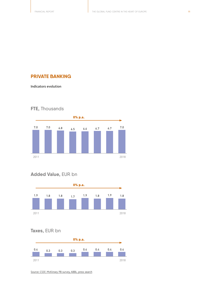#### **PRIVATE BANKING**

**Indicators evolution**



# **FTE,** Thousands

### **Added Value,** EUR bn



### **Taxes,** EUR bn



Source: CSSF, McKinsey PB survey, ABBL, press search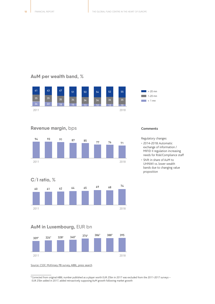### **AuM per wealth band,** %



#### **Revenue margin,** bps



**C/I ratio,** %



#### **AuM in Luxembourg,** EUR bn



Source: CSSF, McKinsey PB survey, ABBL, press search

#### **Comments**

Regulatory changes:

- 2014-2018: Automatic exchange of information / MIFID II regulation increasing needs for Risk/Compliance staff
- Shift in share of AuM to UHNWI vs. lower wealth bands due to changing value proposition

<sup>9</sup> Corrected from original ABBL number published as a player worth EUR 25bn in 2017 was excluded from the 2011-2017 surveys – EUR 25bn added in 2017, added retroactively supposing AuM growth following market growth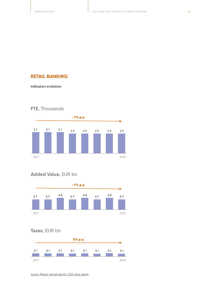#### **RETAIL BANKING**

**Indicators evolution**

### **FTE,** Thousands



### **Added Value,** EUR bn



### **Taxes,** EUR bn



Source: Players' annual reports, CSSF, press search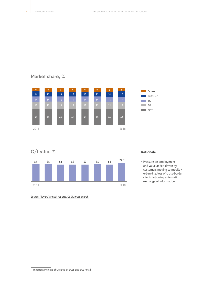### **Market share,** %



#### **C/I ratio,** %



#### **Rationale**

• Pressure on employment and value added driven by customers moving to mobile / e-banking, loss of cross-border clients following automatic exchange of information

Source: Players' annual reports, CSSF, press search

<sup>10</sup> Important increase of C/I ratio of BCEE and BGL Retail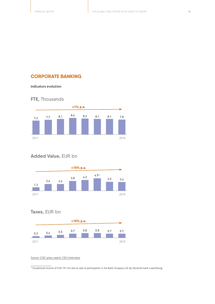#### **CORPORATE BANKING**

**Indicators evolution**

### **FTE,** Thousands



### **Added Value,** EUR bn



### **Taxes,** EUR bn



#### Source: CSSF, press search, CEO interviews

<sup>11</sup> Exceptional income of EUR 741 mn due to sale of participation in Xia Bank Company Ltd. By Deutsche bank Luxembourg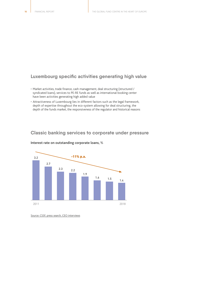#### **Luxembourg specific activities generating high value**

- Market activities, trade finance, cash management, deal structuring (structured / syndicated loans), services to PE-RE funds as well as international booking center have been activities generating high added value
- Attractiveness of Luxembourg lies in different factors such as the legal framework, depth of expertise throughout the eco-system allowing for deal structuring, the depth of the funds market, the responsiveness of the regulator and historical reasons

#### **Classic banking services to corporate under pressure**



#### **Interest rate on outstanding corporate loans,** %

Source: CSSF, press search, CEO interviews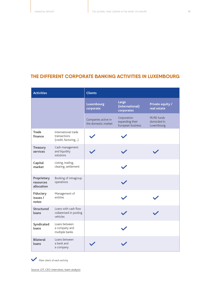### **THE DIFFERENT CORPORATE BANKING ACTIVITIES IN LUXEMBOURG**

| <b>Activities</b>                      |                                                             | <b>Clients</b>                             |                                                     |                                           |  |  |
|----------------------------------------|-------------------------------------------------------------|--------------------------------------------|-----------------------------------------------------|-------------------------------------------|--|--|
|                                        |                                                             | Luxembourg<br>corporate                    | Large<br>(international)<br>corporates              | <b>Private equity /</b><br>real estate    |  |  |
|                                        |                                                             | Companies active in<br>the domestic market | Corporation<br>expanding their<br>European business | PE/RE funds<br>domiciled in<br>Luxembourg |  |  |
| <b>Trade</b><br>finance                | International trade<br>transactions<br>(credit, factoring)  |                                            |                                                     |                                           |  |  |
| Treasury<br>services                   | Cash management<br>and liquidity<br>solutions               |                                            |                                                     |                                           |  |  |
| Capital<br>market                      | Listing, trading,<br>clearing, settlement                   |                                            |                                                     |                                           |  |  |
| Proprietary<br>resources<br>allocation | Booking of intragroup<br>operations                         |                                            |                                                     |                                           |  |  |
| <b>Fiduciary</b><br>issues /<br>notes  | Management of<br>entities                                   |                                            |                                                     |                                           |  |  |
| <b>Structured</b><br>loans             | Loans with cash flow<br>collaterized in pooling<br>vehicles |                                            |                                                     |                                           |  |  |
| Syndicated<br>loans                    | Loans between<br>a company and<br>multiple banks            |                                            |                                                     |                                           |  |  |
| <b>Bilateral</b><br>loans              | Loans between<br>a bank and<br>a company                    |                                            |                                                     |                                           |  |  |

Main client of each activity

Source: LFF, CEO interviews, team analysis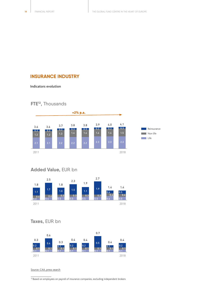#### **INSURANCE INDUSTRY**

**Indicators evolution**

### **FTE12,** Thousands



### **Added Value,** EUR bn



### **Taxes,** EUR bn



Source: CAA, press search

 $\frac{12}{12}$  Based on employees on payroll of insurance companies, excluding independent brokers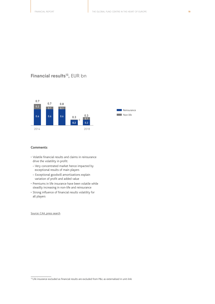### **Financial results13,** EUR bn



#### **Comments**

- Volatile financial results and claims in reinsurance drive the volatility in profit:
- Very concentrated market hence impacted by exceptional results of main players
- Exceptional goodwill amortizations explain variation of profit and added value
- Premiums in life insurance have been volatile while steadily increasing in non-life and reinsurance
- Strong influence of financial results volatility for all players

Source: CAA, press search

 $\frac{13}{13}$  Life insurance excluded as financial results are excluded from P&L as externalised in unit-link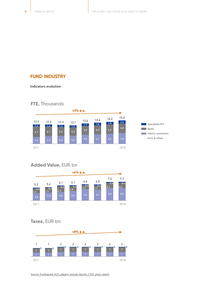#### **FUND INDUSTRY**

#### **Indicators evolution**

#### **FTE,** Thousands



## **Added Value,** EUR bn



### **Taxes,** EUR bn



Source: Fundsquare, ALFI, players' annual reports, CSSF, press search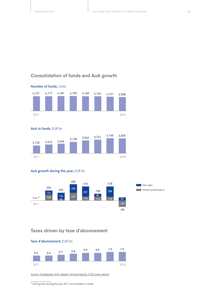### **Consolidation of funds and AuA growth**



**AuA in funds,** EUR bn



#### **AuA growth during the year,** EUR bn



#### **Taxes driven by taxe d'abonnement**



Source: Fundsquare, ALFI, players' annual reports, CSSF, press search

13 AuM growth during the year 2011 not included in model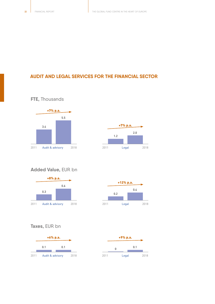### **AUDIT AND LEGAL SERVICES FOR THE FINANCIAL SECTOR**



**FTE,** Thousands



### **Added Value,** EUR bn





### **Taxes,** EUR bn



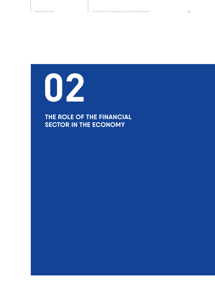<span id="page-22-0"></span>

# **THE ROLE OF THE FINANCIAL SECTOR IN THE ECONOMY**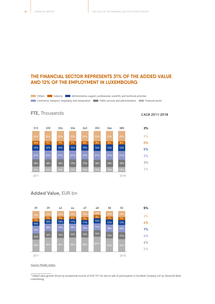### **THE FINANCIAL SECTOR REPRESENTS 31% OF THE ADDED VALUE AND 12% OF THE EMPLOYMENT IN LUXEMBOURG**

**Industry Administrative, support, professional, scientific and technical activities** 

**Commerce, transport, hospitality and restauration Public services and administration Financial sector** 



### **Added Value,** EUR bn

**FTE,** Thousands



Source: Model, statec

14 Added value growth driven by exceptional income of EUR 741 mn due to sale of participation in Xia Bank Company Ltd. by Deutsche Bank Luxembourg

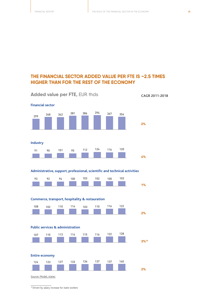### **THE FINANCIAL SECTOR ADDED VALUE PER FTE IS ~2.5 TIMES HIGHER THAN FOR THE REST OF THE ECONOMY**



<sup>15</sup> Driven by salary increase for state workers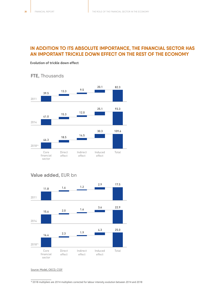### **IN ADDITION TO ITS ABSOLUTE IMPORTANCE, THE FINANCIAL SECTOR HAS AN IMPORTANT TRICKLE DOWN EFFECT ON THE REST OF THE ECONOMY**

#### **Evolution of trickle down effect**

**FTE,** Thousands



### **Value added,** EUR bn



#### Source: Model, OECD, CSSF

<sup>16</sup> 2018 multipliers are 2014 multipliers corrected for labour intensity evolution between 2014 and 2018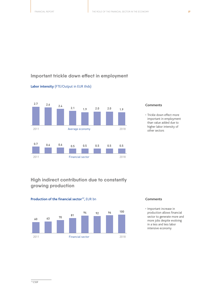### **Important trickle down effect in employment**



#### **Labor intensity** (FTE/Output in EUR thds)

#### **Comments**

• Trickle down effect more important in employment than value added due to higher labor intensity of other sectors

### **High indirect contribution due to constantly growing production**





#### **Comments**

• Important increase in production allows financial sector to generate more and more jobs despite evolving in a less and less labor intensive economy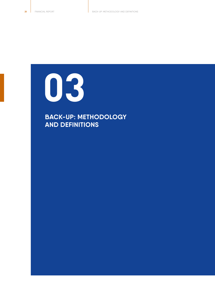<span id="page-27-0"></span>

**BACK-UP: METHODOLOGY AND DEFINITIONS**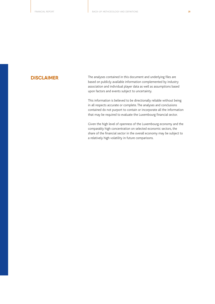**DISCLAIMER** The analyses contained in this document and underlying files are based on publicly available information complemented by industry association and individual player data as well as assumptions based upon factors and events subject to uncertainty.

> This information is believed to be directionally reliable without being in all respects accurate or complete. The analyses and conclusions contained do not purport to contain or incorporate all the information that may be required to evaluate the Luxembourg financial sector.

> Given the high level of openness of the Luxembourg economy and the comparably high concentration on selected economic sectors, the share of the financial sector in the overall economy may be subject to a relatively high volatility in future comparisons.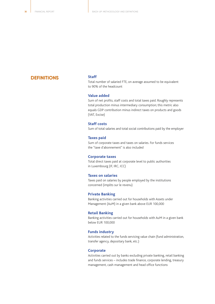#### **DEFINITIONS**

#### **Staff**

Total number of salaried FTE, on average assumed to be equivalent to 90% of the headcount

#### **Value added**

Sum of net profits, staff costs and total taxes paid. Roughly represents total production minus intermediary consumption; this metric also equals GDP contribution minus indirect taxes on products and goods (VAT, Excise)

#### **Staff costs**

Sum of total salaries and total social contributions paid by the employer

#### **Taxes paid**

Sum of corporate taxes and taxes on salaries. For funds services the "taxe d'abonnement" is also included

#### **Corporate taxes**

Total direct taxes paid at corporate level to public authorities in Luxembourg (IF, IRC, ICC)

#### **Taxes on salaries**

Taxes paid on salaries by people employed by the institutions concerned (impôts sur le revenu)

#### **Private Banking**

Banking activities carried out for households with Assets under Management (AuM) in a given bank above EUR 100,000

#### **Retail Banking**

Banking activities carried out for households with AuM in a given bank below EUR 100,000

#### **Funds industry**

Activities related to the funds servicing value chain (fund administration, transfer agency, depositary bank, etc.)

#### **Corporate**

Activities carried out by banks excluding private banking, retail banking and funds services – includes trade finance, corporate lending, treasury management, cash management and head office functions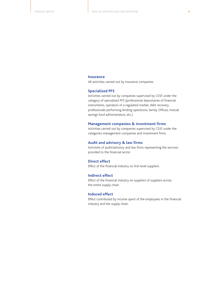#### **Insurance**

All activities carried out by insurance companies

#### **Specialized PFS**

Activities carried out by companies supervised by CSSF under the category of specialized PFS (professional depositaries of financial instruments, operators of a regulated market, debt recovery, professionals performing lending operations, family Offices, mutual savings fund administrators, etc.)

#### **Management companies & investment firms**

Activities carried out by companies supervised by CSSF under the categories management companies and investment firms

#### **Audit and advisory & law firms**

Activities of audit/advisory and law firms representing the services provided to the financial sector

#### **Direct effect**

Effect of the financial industry on first level suppliers

#### **Indirect effect**

Effect of the financial industry on suppliers of suppliers across the entire supply chain

#### **Induced effect**

Effect contributed by income spent of the employees in the financial industry and the supply chain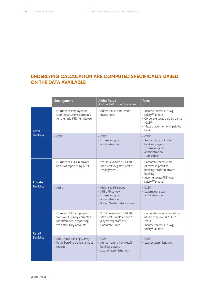### **UNDERLYING CALCULATION ARE COMPUTED SPECIFICALLY BASED ON THE DATA AVAILABLE**

|                                  | <b>Employment</b>                                                                                                | <b>Added Value</b><br>(Profit + Staff cost + Corp. taxes)                                                       | <b>Taxes</b>                                                                                                                              |
|----------------------------------|------------------------------------------------------------------------------------------------------------------|-----------------------------------------------------------------------------------------------------------------|-------------------------------------------------------------------------------------------------------------------------------------------|
| <b>Total</b><br><b>Banking</b>   | • Number of employees in<br>credit institutions corrected<br>for the ratio FTE / employee                        | • Added value from credit<br>institutions                                                                       | • Income taxes: FTE* Avg<br>salary*Tax rate<br>• Corporate taxes paid by banks<br>(CSSF)<br>· "Taxe d'abonnement" paid by<br>banks        |
|                                  | $\cdot$ CSSF                                                                                                     | $\cdot$ CSSF<br>• Luxembourg tax<br>administration                                                              | $\cdot$ CSSF<br>• Annual report of retail<br>banking players<br>• Luxembourg tax<br>administration<br>• Fundsquare                        |
| <b>Private</b><br><b>Banking</b> | • Number of FTEs in private<br>banks as reported by ABBL                                                         | • Profit: Revenues * (1-C/I)<br>• Staff cost: Avg staff cost *<br>Employment                                    | • Corporate taxes: Share<br>of taxes in profit for<br>banking*profit in private<br>banking<br>• Income taxes: FTE* Avg<br>salary*Tax rate |
|                                  | • ABBL                                                                                                           | • McKinsey PB survey<br>• ABBL PB survey<br>• Luxembourg tax<br>administration<br>• Robert Walter salary survey | $\cdot$ CSSF<br>• Luxembourg tax<br>administration                                                                                        |
| <b>Retail</b><br><b>Banking</b>  | • Number of RB employees<br>from ABBL survey corrected<br>for difference in reporting<br>with statutory accounts | • Profit: Revenues * (1-C/I)<br>• Staff cost: Employment *<br>players avg staff cost<br>• Corporate Taxes       | • Corporate taxes: Share of tax<br>at industry level (CSSF) *<br>Profit<br>• Income taxes: FTE* Avg<br>salary*Tax rate                    |
|                                  | • ABBL retail banking survey<br>· Retail banking players annual<br>reports                                       | $\cdot$ CSSF<br>• Annual report from retail<br>banking players<br>• Lux tax administration                      | $\cdot$ CSSF<br>• Lux tax administration                                                                                                  |

Source: Model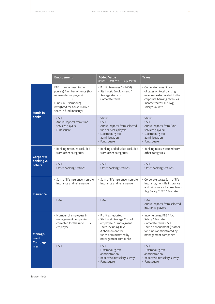|                                    | <b>Employment</b>                                                                                                                                                          | <b>Added Value</b><br>(Profit + Staff cost + Corp. taxes)                                                                                                                      | <b>Taxes</b>                                                                                                                                                       |
|------------------------------------|----------------------------------------------------------------------------------------------------------------------------------------------------------------------------|--------------------------------------------------------------------------------------------------------------------------------------------------------------------------------|--------------------------------------------------------------------------------------------------------------------------------------------------------------------|
| <b>Funds in</b><br><b>banks</b>    | FTE (from representative<br>players) Number of funds (from<br>representative players)<br>X<br>Funds in Luxembourg<br>(weighted for banks market<br>share in fund industry) | • Profit: Revenues * (1-C/I)<br>• Staff cost: Employment *<br>Average staff cost<br>• Corporate taxes                                                                          | • Corporate taxes: Share<br>of taxes on total banking<br>revenues extrapolated to the<br>corporate banking revenues<br>• Income taxes: FTE* Avg<br>salary*Tax rate |
|                                    | $\cdot$ CSSF<br>• Annual reports from fund<br>services players <sup>1</sup><br>• Fundsquare                                                                                | • Statec<br>· CSSF<br>• Annual reports from selected<br>fund services players<br>• Luxembourg tax<br>administration<br>• Fundsquare                                            | • Statec<br>$\cdot$ CSSF<br>• Annual reports from fund<br>services players1<br>• Luxembourg tax<br>administration<br>• Fundsquare                                  |
| Corporate<br>banking &<br>others   | · Banking revenues excluded<br>from other categories                                                                                                                       | · Banking added value excluded<br>from other categories                                                                                                                        | · Banking taxes excluded from<br>other categories                                                                                                                  |
|                                    | $\cdot$ CSSF<br>• Other banking sections                                                                                                                                   | $\cdot$ CSSF<br>• Other banking sections                                                                                                                                       | $\cdot$ CSSF<br>• Other banking sections                                                                                                                           |
| <b>Insurance</b>                   | · Sum of life insurance, non-life<br>insurance and reinsurance                                                                                                             | • Sum of life insurance, non-life<br>insurance and reinsurance                                                                                                                 | · Corporate taxes: Sum of life<br>insurance, non-life insurance<br>and reinsurance Income taxes:<br>Avg Salary * FTE * Tax rate                                    |
|                                    | $\cdot$ CAA                                                                                                                                                                | $\cdot$ CAA                                                                                                                                                                    | $\cdot$ CAA<br>· Annual reports from selected<br>insurance players                                                                                                 |
| Manage-<br>ment<br>Compag-<br>nies | • Number of employees in<br>management companies<br>corrected for the ratio FTE /<br>employee                                                                              | • Profit as reported<br>• Staff cost: Average Cost of<br>employee * Employment<br>• Taxes including taxe<br>d'abonnement for<br>funds administrated by<br>management companies | • Income taxes: FTE * Avg<br>Salary * Tax rate<br>• Corporate taxes: CSSF<br>· Taxe d'abonnement (Statec)<br>for funds administrated by<br>management companies    |
|                                    | • CSSF                                                                                                                                                                     | $\cdot$ CSSF<br>• Luxembourg tax<br>administration<br>• Robert Walter salary survey<br>• Fundsquare                                                                            | $\cdot$ CSSF<br>• Luxembourg tax<br>administration<br>• Robert Walter salary survey<br>• Fundsquare                                                                |

Source: Model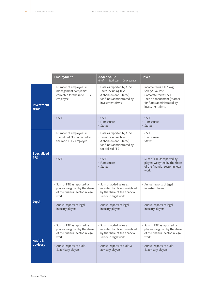|                                  | <b>Employment</b>                                                                                        | <b>Added Value</b><br>(Profit + Staff cost + Corp. taxes)                                                                       | <b>Taxes</b>                                                                                                                                              |
|----------------------------------|----------------------------------------------------------------------------------------------------------|---------------------------------------------------------------------------------------------------------------------------------|-----------------------------------------------------------------------------------------------------------------------------------------------------------|
| Investment<br>firms              | • Number of employees in<br>management companies<br>corrected for the ratio FTE /<br>employee            | • Data as reported by CSSF<br>• Taxes including taxe<br>d'abonnement (Statec)<br>for funds administrated by<br>investment firms | • Income taxes: FTE* Avg<br>Salary* Tax rate<br>· Corporate taxes: CSSF<br>· Taxe d'abonnement (Statec)<br>for funds administrated by<br>investment firms |
|                                  | $\cdot$ CSSF                                                                                             | $\cdot$ CSSF<br>• Fundsquare<br>• Statec                                                                                        | $\cdot$ CSSF<br>• Fundsquare<br>• Statec                                                                                                                  |
| <b>Specialized</b><br><b>PFS</b> | • Number of employees in<br>specialized PFS corrected for<br>the ratio FTE / employee                    | • Data as reported by CSSF<br>• Taxes including taxe<br>d'abonnement (Statec)<br>for funds administrated by<br>specialized PFS  | • CSSF<br>• Fundsquare<br>• Statec                                                                                                                        |
|                                  | $\cdot$ CSSF                                                                                             | $\cdot$ CSSF<br>• Fundsquare<br>· Statec                                                                                        | • Sum of FTE as reported by<br>players weighted by the share<br>of the financial sector in legal<br>work                                                  |
| <b>Legal</b>                     | • Sum of FTE as reported by<br>players weighted by the share<br>of the financial sector in legal<br>work | • Sum of added value as<br>reported by players weighted<br>by the share of the financial<br>sector in legal work                | • Annual reports of legal<br>industry players                                                                                                             |
|                                  | • Annual reports of legal<br>industry players                                                            | • Annual reports of legal<br>industry players                                                                                   | • Annual reports of legal<br>industry players                                                                                                             |
| Audit &<br>advisory              | • Sum of FTE as reported by<br>players weighted by the share<br>of the financial sector in legal<br>work | • Sum of added value as<br>reported by players weighted<br>by the share of the financial<br>sector in legal work                | • Sum of FTE as reported by<br>players weighted by the share<br>of the financial sector in legal<br>work                                                  |
|                                  | • Annual reports of audit<br>& advisory players                                                          | • Annual reports of audit &<br>advisory players                                                                                 | • Annual reports of audit<br>& advisory players                                                                                                           |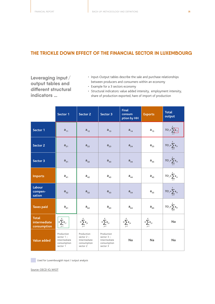#### **THE TRICKLE DOWN EFFECT OF THE FINANCIAL SECTOR IN LUXEMBOURG**

**Leveraging input / output tables and different structural indicators …**

- Input-Output tables describe the sale and purchase relationships between producers and consumers within an economy
- Example for a 3 sectors economy
- Structural indicators: value added intensity, employment intensity, share of production exported, hare of import of production

|                                             | Sector 1                                                              | <b>Sector 2</b>                                                       | Sector 3                                                              | <b>Final</b><br><b>consum</b><br>ption by HH | <b>Exports</b>                        | <b>Total</b><br>output               |
|---------------------------------------------|-----------------------------------------------------------------------|-----------------------------------------------------------------------|-----------------------------------------------------------------------|----------------------------------------------|---------------------------------------|--------------------------------------|
| Sector 1                                    | $a_{11}$                                                              | $a_{12}$                                                              | $a_{13}$                                                              | $a_{14}$                                     | $a_{15}$                              | $TO_1 = \sum_{i=1}^{n} a_{ii}$       |
| Sector 2                                    | $a_{21}$                                                              | $a_{22}$                                                              | $a_{23}$                                                              | $a_{24}$                                     | $a_{25}$                              | $TO_1 = \sum_{i=1}^{5} a_{2i}$       |
| Sector 3                                    | $a_{31}$                                                              | $a_{32}$                                                              | $a_{33}$                                                              | $a_{34}$                                     | $a_{35}$                              | $TO_1 = \sum_{i=1}^{5} a_{3i}$       |
| <b>Imports</b>                              | $a_{41}$                                                              | $a_{42}$                                                              | $a_{43}$                                                              | $a_{44}$                                     | $a_{45}$                              | $TO_1 = \sum_{i=1}^{5} a_{4i}$       |
| <b>Labour</b><br>compen-<br>sation          | $a_{52}$                                                              | $a_{52}$                                                              | $a_{53}$                                                              | $a_{54}$                                     | $\mathbf{a}_{\scriptscriptstyle{55}}$ | $TO_1 = \sum_{i=1}^{5} a_{5i}$       |
| <b>Taxes paid</b>                           | $a_{61}$                                                              | $a_{62}$                                                              | $a_{63}$                                                              | $a_{64}$                                     | $a_{65}$                              | $TO_1 = \sum_{i=1}^{5} a_{\delta i}$ |
| <b>Total</b><br>intermediate<br>consumption | $\Big  = \sum_{i=1}^{\widehat{6}} a_{ji}$                             | $=\sum_{j=1}^{6}a_{j2}$                                               | $=\sum_{i=1}^{6} a_{i3}$                                              | $=\sum_{j=1}^{6} a_{j4}$                     | $=\sum_{j=1}^6 \mathbf{a}_{js}$       | <b>Na</b>                            |
| <b>Value added</b>                          | Production<br>sector $1 -$<br>Intermediate<br>consumption<br>sector 1 | Production<br>sector $2 -$<br>Intermediate<br>consumption<br>sector 2 | Production<br>sector $3 -$<br>Intermediate<br>consumption<br>sector 3 | <b>Na</b>                                    | <b>Na</b>                             | <b>Na</b>                            |

Used for Luxembourgish input / output analysis

Source: OECD IO, WIOT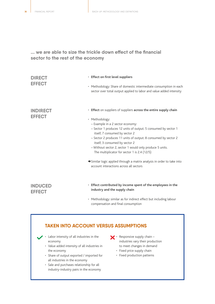### **... we are able to size the trickle down effect of the financial sector to the rest of the economy**

| <b>DIRECT</b><br><b>EFFECT</b>   | • Effect on first level suppliers<br>• Methodology: Share of domestic intermediate consumption in each<br>sector over total output applied to labor and value added intensity                                                                                                                                                                                                                                                                                                                                                                                   |
|----------------------------------|-----------------------------------------------------------------------------------------------------------------------------------------------------------------------------------------------------------------------------------------------------------------------------------------------------------------------------------------------------------------------------------------------------------------------------------------------------------------------------------------------------------------------------------------------------------------|
| <b>INDIRECT</b><br><b>EFFECT</b> | • Effect on suppliers of suppliers across the entire supply chain<br>• Methodology:<br>- Example in a 2 sector economy:<br>- Sector 1 produces 12 units of output. 5 consumed by sector 1<br>itself, 7 consumed by sector 2<br>- Sector 2 produces 11 units of output. 8 consumed by sector 2<br>itself, 3 consumed by sector 2<br>- Without sector 2, sector 1 would only produce 5 units.<br>The multiplicator for sector 1 is 2.4 (12/5)<br>Similar logic applied through a matrix analysis in order to take into<br>account interactions across all sectors |
| <b>INDUCED</b><br><b>EFFECT</b>  | · Effect contributed by income spent of the employees in the<br>industry and the supply chain<br>• Methodology: similar as for indirect effect but including labour<br>compensation and final consumption                                                                                                                                                                                                                                                                                                                                                       |

### **TAKEN INTO ACCOUNT VERSUS ASSUMPTIONS**

- Labor intensity of all industries in the economy
	- Value added intensity of all industries in the economy
	- Share of output exported / imported for all industries in the economy
	- Sale and purchases relationship for all industry-industry pairs in the economy
- $\mathbf{X} \cdot$  Responsive supply chain industries vary their production to meet changes in demand
	- Fixed price supply chain
	- Fixed production patterns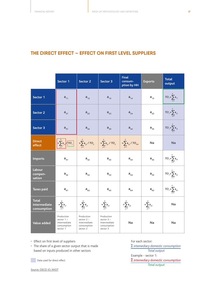### **THE DIRECT EFFECT – EFFECT ON FIRST LEVEL SUPPLIERS**

|                                             | Sector 1                                                              | <b>Sector 2</b>                                                       | Sector 3                                                              | <b>Final</b><br>consum-<br>ption by HH | <b>Exports</b>             | <b>Total</b><br>output           |
|---------------------------------------------|-----------------------------------------------------------------------|-----------------------------------------------------------------------|-----------------------------------------------------------------------|----------------------------------------|----------------------------|----------------------------------|
| Sector 1                                    | $a_{11}$                                                              | $a_{12}$                                                              | $a_{13}$                                                              | $a_{14}$                               | $a_{15}$                   | $TO_1 = \sum_{i=1}^{5} a_{ii}$   |
| <b>Sector 2</b>                             | $a_{21}$                                                              | $a_{22}$                                                              | $a_{23}$                                                              | $a_{24}$                               | $\mathsf{a}_{\mathsf{25}}$ | $TO_1 = \sum_{i=1}^{n} a_{2i}$   |
| Sector 3                                    | $a_{31}$                                                              | $a_{32}$                                                              | $a_{33}$                                                              | $a_{34}$                               | $a_{35}$                   | $TO_1 = \sum_{i=1}^{5} a_{3i}$   |
| <b>Direct</b><br>effect                     | $=\sum a_{j1}$<br>$\sqrt{70}$                                         | $=\sum_{j=1}^{3} a_{j2} / T O_2$                                      | $=\sum_{j=1}^{7} a_{j3} / TO_3$                                       | $=\sum a_{i3} / TO_{HH}$               | Na                         | <b>Na</b>                        |
| <b>Imports</b>                              | $a_{41}$                                                              | $a_{42}$                                                              | $a_{43}$                                                              | $a_{44}$                               | $a_{45}$                   | $TO_1 = \sum_{i=1}^{3} a_{4i}$   |
| <b>Labour</b><br>compen-<br>sation          | $a_{52}$                                                              | $a_{52}$                                                              | $a_{53}$                                                              | $a_{54}$                               | $a_{55}$                   | $TO_{i} = \sum_{i=1}^{5} a_{si}$ |
| <b>Taxes paid</b>                           | $a_{61}$                                                              | $a_{62}$                                                              | $a_{63}$                                                              | $a_{64}$                               | $a_{65}$                   | $TO_1 = \sum_{i=1}^{n} a_{ii}$   |
| <b>Total</b><br>intermediate<br>consumption | $=\sum_{j=1}^6 a_{j1}$                                                | $=\sum_{j=1}^6 \mathsf{a}_{j2}$                                       | $=\sum_{j=1}^{6} a_{j3}$                                              | $=\sum_{j=1}^{6} a_{j4}$               | $=\sum_{j=1}^{6} a_{j5}$   | Na                               |
| <b>Value added</b>                          | Production<br>sector $1 -$<br>Intermediate<br>consumption<br>sector 1 | Production<br>sector $2 -$<br>Intermediate<br>consumption<br>sector 2 | Production<br>sector $3 -$<br>Intermediate<br>consumption<br>sector 3 | <b>Na</b>                              | <b>Na</b>                  | Na                               |

• Effect on first level of suppliers

• The share of a given sector output that is made based on inputs produced in other sectors

Data used for direct effect

For each sector: *intemediary domestic consumption Total output* Example - sector 1: *intemediary domestic consumption*

*Total output*

Source: OECD IO, WIOT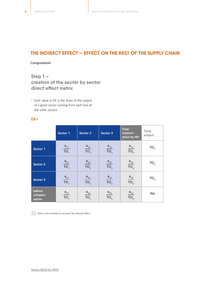### **THE INDIRECT EFFECT – EFFECT ON THE REST OF THE SUPPLY CHAIN**

#### **Computation**

### **Step 1 – creation of the sector by sector direct effect matrix**

• Each value in DE is the share of the output of a given sector coming from each one of the other sectors

#### **DE =**

|                             | Sector 1                | Sector 2                | Sector 3                | <b>Final</b><br>consum-<br>ption by HH | Total<br>output |
|-----------------------------|-------------------------|-------------------------|-------------------------|----------------------------------------|-----------------|
| Sector 1                    | $rac{a_{11}}{TO_1}$     | $\frac{a_{12}}{TO_2}$   | $\frac{a_{13}}{TO_{3}}$ | $\frac{a_{14}}{TO_{4}}$                | TO <sub>1</sub> |
| <b>Sector 2</b>             | $\frac{a_{21}}{TO_1}$   | $\frac{a_{22}}{TO_{2}}$ | $\frac{a_{23}}{TO_{3}}$ | $\frac{a_{24}}{TO_4}$                  | TO <sub>2</sub> |
| Sector 3                    | $\frac{a_{31}}{TO_1}$   | $\frac{a_{32}}{TO_{2}}$ | $\frac{a_{33}}{TO_{3}}$ | $\frac{a_{34}}{TO_4}$                  | TO <sub>3</sub> |
| Labour<br>compen-<br>sation | $\frac{a_{51}}{TO_{1}}$ | $rac{a_{52}}{TO_{2}}$   | $\frac{a_{53}}{TO_{3}}$ | $\frac{a_{54}}{TO_{4}}$                | Na              |

Data to be included to account for induced effect

Source: OECD IO, WIOT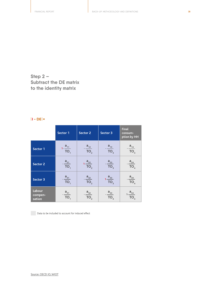**Step 2 – Subtract the DE matrix to the identity matrix**

#### | **I - DE** | **=**

|                             | Sector 1                                   | <b>Sector 2</b>        | Sector 3                | <b>Final</b><br>consum-<br>ption by HH |
|-----------------------------|--------------------------------------------|------------------------|-------------------------|----------------------------------------|
| Sector 1                    | $1-\frac{a_{11}}{TO_1}$                    | $-\frac{a_{12}}{TO_2}$ | $\frac{a_{13}}{TO_{3}}$ | $\cdot \frac{a_{14}}{TO_{4}}$          |
| <b>Sector 2</b>             | $\frac{a_{21}}{TO_{1}}$                    | $\frac{a_{22}}{TO}$    | $\frac{a_{23}}{TO_{3}}$ | $\frac{a_{24}}{TO_{4}}$                |
| Sector 3                    | $\frac{a_{31}}{TO_1}$                      | $-\frac{a_{32}}{TO_2}$ | $\frac{a_{33}}{TO_{3}}$ | $\frac{a_{34}}{TO_{4}}$                |
| Labour<br>compen-<br>sation | $\frac{a_{51}}{a_{51}}$<br>TO <sub>1</sub> | $\frac{a_{52}}{TO_2}$  | $\frac{a_{53}}{TO_{3}}$ | $rac{a_{54}}{TO_{4}}$                  |

Data to be included to account for induced effect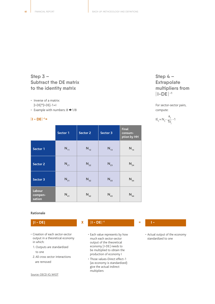**Step 3 – Subtract the DE matrix to the identity matrix**

- Inverse of a matrix:
- $|I-DE|$ <sup>\*</sup> $|I-DE|-1=$ I
- Example with numbers:  $8 \rightarrow 1/8$

#### $|1 - DE|^{-1} =$

|                             | Sector 1 | Sector 2 | Sector 3 | <b>Final</b><br>consum-<br>ption by HH |
|-----------------------------|----------|----------|----------|----------------------------------------|
| Sector 1                    | $N_{11}$ | $N_{12}$ | $N_{13}$ | $N_{14}$                               |
| <b>Sector 2</b>             | $N_{21}$ | $N_{22}$ | $N_{23}$ | $N_{24}$                               |
| Sector 3                    | $N_{31}$ | $N_{32}$ | $N_{33}$ | $N_{34}$                               |
| Labour<br>compen-<br>sation | $N_{41}$ | $N_{42}$ | $N_{43}$ | $N_{44}$                               |

### **Step 4 – Extrapolate multipliers from**  | **I-DE** | **-1**

For sector-sector pairs, compute:

$$
IE_{ij} = N_{ij} - \frac{a_{ij}}{To_{j}} - 1
$$

#### **Rationale**

- Creation of each sector-sector output in a theoretical economy in which:
- 1. Outputs are standardized to one
- 2. All cross sector interactions are removed

Source: OECD IO, WIOT

#### **| I - DE | X** | **I - DE** | **= -1 I -**

- Each value represents by how much each sector-sector output of the theoretical economy | I-DE | needs to be multiplied to obtain the production of economy I
- Those values-Direct effect-1 (as economy is standardized) give the actual indirect multipliers

• Actual output of the economy standardized to one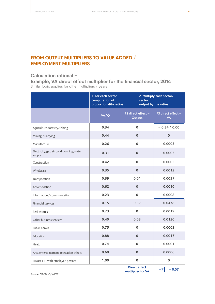### **FROM OUTPUT MULTIPLIERS TO VALUE ADDED / EMPLOYMENT MULTIPLIERS**

#### **Calculation rational –**

**Example, VA direct effect multiplier for the financial sector, 2014** Similar logic applies for other multipliers / years

|                                                      | 1. For each sector,<br>computation of<br>sector<br>proportionality ratios |                              | 2. Multiply each sector/<br>output by the ratios |  |
|------------------------------------------------------|---------------------------------------------------------------------------|------------------------------|--------------------------------------------------|--|
|                                                      | VA/Q                                                                      | FS direct effect -<br>Output | FS direct effect -<br><b>VA</b>                  |  |
| Agriculture, forestry, fishing                       | 0.34                                                                      | $\mathbf 0$                  | $= 0.34$   $ 0.00 $                              |  |
| Mining, quarrying                                    | 0.44                                                                      | $\mathbf{0}$                 | $\mathbf 0$                                      |  |
| Manufacture                                          | 0.26                                                                      | $\mathbf 0$                  | 0.0003                                           |  |
| Electricity, gaz, air conditionning, water<br>supply | 0.31                                                                      | $\mathbf 0$                  | 0.0003                                           |  |
| Construction                                         | 0.42                                                                      | $\mathbf 0$                  | 0.0005                                           |  |
| Wholesale                                            | 0.35                                                                      | $\Omega$                     | 0.0012                                           |  |
| Transporation                                        | 0.39                                                                      | 0.01                         | 0.0037                                           |  |
| Accomodation                                         | 0.62                                                                      | $\Omega$                     | 0.0010                                           |  |
| Information / communication                          | 0.23                                                                      | $\Omega$                     | 0.0008                                           |  |
| Financial services                                   | 0.15                                                                      | 0.32                         | 0.0478                                           |  |
| Real estates                                         | 0.73                                                                      | $\mathbf 0$                  | 0.0019                                           |  |
| Other business services                              | 0.40                                                                      | 0.03                         | 0.0120                                           |  |
| Public admin                                         | 0.75                                                                      | $\Omega$                     | 0.0003                                           |  |
| Education                                            | 0.88                                                                      | $\mathbf{0}$                 | 0.0017                                           |  |
| Health                                               | 0.74                                                                      | $\mathbf 0$                  | 0.0001                                           |  |
| Arts, entertainement, recreation others              | 0.60                                                                      | $\mathbf 0$                  | 0.0006                                           |  |
| Private HH with employed persons                     | 1.00                                                                      | $\pmb{0}$                    | 0                                                |  |

Source: OECD IO, WIOT

**Direct effect Direct effect**<br>multiplier for VA  $= \sum \boxed{=} 0.07$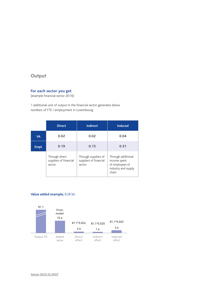### **Output**

#### **For each sector you get**

(example financial sector 2014):

1 additional unit of output in the financial sector generates below numbers of FTE / employment in Luxembourg

|           | <b>Direct</b>                                      | <b>Indirect</b>                                          | <b>Induced</b>                                                                        |
|-----------|----------------------------------------------------|----------------------------------------------------------|---------------------------------------------------------------------------------------|
| <b>VA</b> | 0.02                                               | 0.02                                                     | 0.04                                                                                  |
| Empl.     | 0.19                                               | 0.15                                                     | 0.31                                                                                  |
|           | Through direct<br>suppliers of financial<br>sector | Through suppliers of<br>suppliers of financial<br>sector | Through additional<br>income spent<br>of employees of<br>industry and supply<br>chain |

#### **Value added example,** EUR bn



Source: OECD IO, WIOT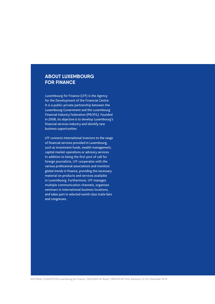### **ABOUT LUXEMBOURG FOR FINANCE**

Luxembourg for Finance (LFF) is the Agency for the Development of the Financial Centre. It is a public-private partnership between the Luxembourg Government and the Luxembourg Financial Industry Federation (PROFIL). Founded in 2008, its objective is to develop Luxembourg's financial services industry and identify new business opportunities.

LFF connects international investors to the range of financial services provided in Luxembourg, such as investment funds, wealth management, capital market operations or advisory services. In addition to being the first port of call for foreign journalists, LFF cooperates with the various professional associations and monitors global trends in finance, providing the necessary material on products and services available in Luxembourg. Furthermore, LFF manages multiple communication channels, organises seminars in international business locations, and takes part in selected world-class trade fairs and congresses.

EDITORIAL CONCEPTION Luxembourg for Finance | DESIGNED BY Bizart | PRINTED BY Print Solutions | © LFF, December 2019